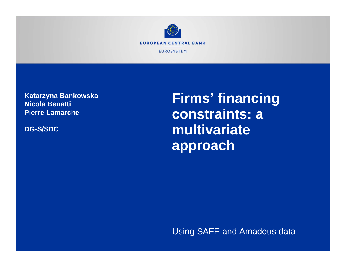

**Katarzyna Bankowska Nicola Benatti Pierre Lamarche**

**DG-S/SDC**

**Firms' financing constraints: a multivariate approach**

Using SAFE and Amadeus data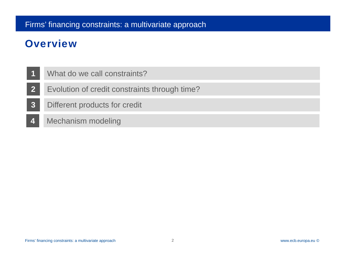# **Overview**

- **1**What do we call constraints?
- **2**Evolution of credit constraints through time?
- **3**Different products for credit
- **4**Mechanism modeling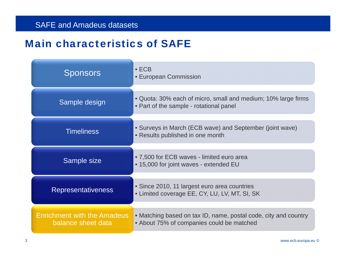#### **SAFE and Amadeus datasets**

#### **Main characteristics of SAFI**

| <b>Sponsors</b>                                          | $\bullet$ ECB<br><b>• European Commission</b>                                                                |
|----------------------------------------------------------|--------------------------------------------------------------------------------------------------------------|
| Sample design                                            | • Quota: 30% each of micro, small and medium; 10% large firms<br>• Part of the sample - rotational panel     |
| <b>Timeliness</b>                                        | • Surveys in March (ECB wave) and September (joint wave)<br>• Results published in one month                 |
| Sample size                                              | • 7,500 for ECB waves - limited euro area<br>• 15,000 for joint waves - extended EU                          |
| <b>Representativeness</b>                                | • Since 2010, 11 largest euro area countries<br>• Limited coverage EE, CY, LU, LV, MT, SI, SK                |
| <b>Enrichment with the Amadeus</b><br>balance sheet data | • Matching based on tax ID, name, postal code, city and country<br>• About 75% of companies could be matched |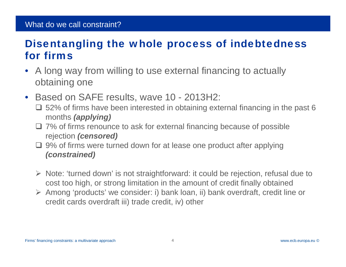#### What do we call constraint?

## Disentangling the whole process of indebtedness for firms

- $\bullet$  A long way from willing to use external financing to actually obtaining one
- $\bullet$  Based on SAFE results, wave 10 - 2013H2:
	- $\square$  52% of firms have been interested in obtaining external financing in the past 6 months *(applying)*
	- **□** 7% of firms renounce to ask for external financing because of possible rejection *(censored)*
	- **□** 9% of firms were turned down for at lease one product after applying *(constrained)*
	- Note: 'turned down' is not straightforward: it could be rejection, refusal due to cost too high, or strong limitation in the amount of credit finally obtained
	- Among 'products' we consider: i) bank loan, ii) bank overdraft, credit line or credit cards overdraft iii) trade credit, iv) other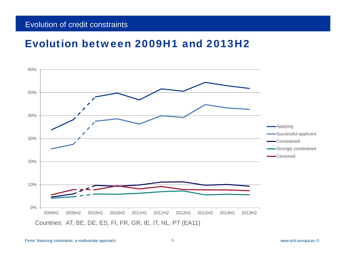#### Evolution of credit constraints

#### Evolution between 2009H1 and 2013H2



Firms' financing constraints: a multivariate approach 5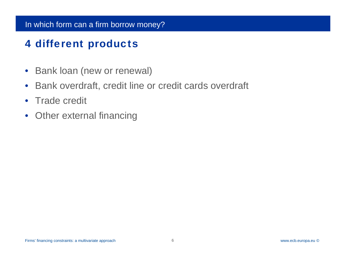# 4 different products

- $\bullet$ Bank loan (new or renewal)
- $\bullet$ Bank overdraft, credit line or credit cards overdraft
- $\bullet$ Trade credit
- $\bullet$ Other external financing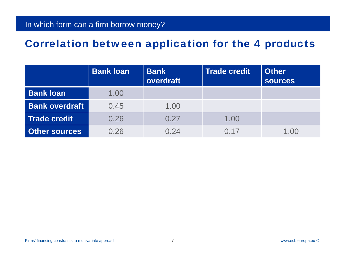#### Correlation between application for the 4 products

|                       | <b>Bank loan</b> | <b>Bank</b><br>overdraft | <b>Trade credit</b> | <b>Other</b><br><b>sources</b> |
|-----------------------|------------------|--------------------------|---------------------|--------------------------------|
| <b>Bank loan</b>      | 1.00             |                          |                     |                                |
| <b>Bank overdraft</b> | 0.45             | 1.00                     |                     |                                |
| <b>Trade credit</b>   | 0.26             | 0.27                     | 1.00                |                                |
| <b>Other sources</b>  | 0.26             | 0.24                     | 0.17                | 1.00                           |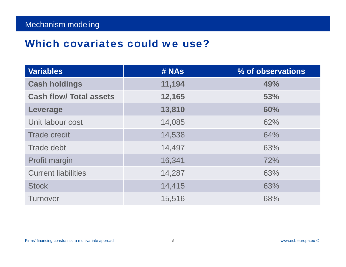#### Which covariates could we use?

| <b>Variables</b>               | # NAs  | % of observations |
|--------------------------------|--------|-------------------|
| <b>Cash holdings</b>           | 11,194 | 49%               |
| <b>Cash flow/ Total assets</b> | 12,165 | 53%               |
| Leverage                       | 13,810 | 60%               |
| Unit labour cost               | 14,085 | 62%               |
| <b>Trade credit</b>            | 14,538 | 64%               |
| Trade debt                     | 14,497 | 63%               |
| Profit margin                  | 16,341 | 72%               |
| <b>Current liabilities</b>     | 14,287 | 63%               |
| <b>Stock</b>                   | 14,415 | 63%               |
| <b>Turnover</b>                | 15,516 | 68%               |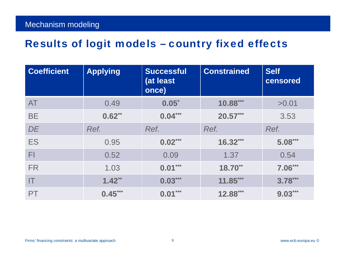# Results of logit models – country fixed effects

| <b>Coefficient</b> | <b>Applying</b> | <b>Successful</b><br>(at least<br>once) | <b>Constrained</b> | <b>Self</b><br>censored |
|--------------------|-----------------|-----------------------------------------|--------------------|-------------------------|
| <b>AT</b>          | 0.49            | $0.05^*$                                | 10.88***           | >0.01                   |
| <b>BE</b>          | $0.62**$        | $0.04***$                               | $20.57***$         | 3.53                    |
| DE                 | Ref.            | Ref.                                    | Ref.               | Ref.                    |
| <b>ES</b>          | 0.95            | $0.02***$                               | $16.32***$         | $5.08***$               |
| FI                 | 0.52            | 0.09                                    | 1.37               | 0.54                    |
| <b>FR</b>          | 1.03            | $0.01***$                               | $18.70**$          | $7.06***$               |
| IT                 | $1.42**$        | $0.03***$                               | $11.85***$         | $3.78***$               |
| <b>PT</b>          | $0.45***$       | $0.01***$                               | $12.88***$         | $9.03***$               |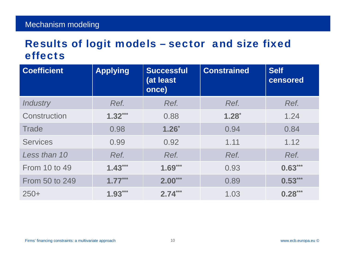## Results of logit models – sector and size fixed effects

| <b>Coefficient</b> | <b>Applying</b> | <b>Successful</b><br>(at least<br>once) | <b>Constrained</b> | <b>Self</b><br>censored |
|--------------------|-----------------|-----------------------------------------|--------------------|-------------------------|
| <b>Industry</b>    | Ref.            | Ref.                                    | Ref.               | Ref.                    |
| Construction       | $1.32***$       | 0.88                                    | $1.28*$            | 1.24                    |
| <b>Trade</b>       | 0.98            | $1.26*$                                 | 0.94               | 0.84                    |
| <b>Services</b>    | 0.99            | 0.92                                    | 1.11               | 1.12                    |
| Less than 10       | Ref.            | Ref.                                    | Ref.               | Ref.                    |
| From 10 to 49      | $1.43***$       | $1.69***$                               | 0.93               | $0.63***$               |
| From 50 to 249     | $1.77***$       | $2.00***$                               | 0.89               | $0.53***$               |
| $250+$             | $1.93***$       | $2.74***$                               | 1.03               | $0.28***$               |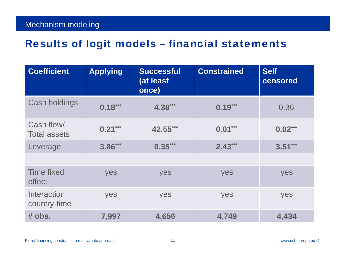| <b>Coefficient</b>                | <b>Applying</b> | <b>Successful</b><br>(at least<br>once) | <b>Constrained</b> | <b>Self</b><br>censored |
|-----------------------------------|-----------------|-----------------------------------------|--------------------|-------------------------|
| <b>Cash holdings</b>              | $0.18***$       | 4.38***                                 | $0.19***$          | 0.36                    |
| Cash flow/<br><b>Total assets</b> | $0.21***$       | $0.01***$<br>42.55***                   |                    | $0.02***$               |
| Leverage                          | $3.86***$       | $0.35***$                               | $2.43***$          | $3.51***$               |
|                                   |                 |                                         |                    |                         |
| <b>Time fixed</b><br>effect       | yes             | yes<br>yes                              |                    | yes                     |
| Interaction<br>country-time       | yes             | yes                                     | yes                | yes                     |
| # obs.                            | 7,997           | 4,656                                   | 4,749              | 4,434                   |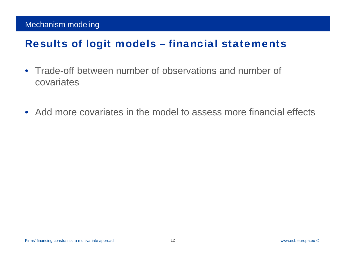#### Mechanism modeling

- $\bullet$  Trade-off between number of observations and number of covariates
- Add more covariates in the model to assess more financial effects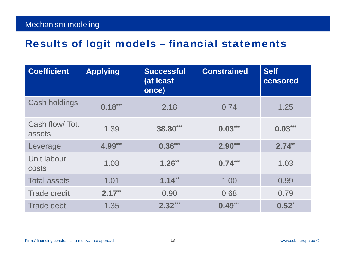| <b>Coefficient</b>       | <b>Applying</b> | <b>Successful</b><br>(at least<br>once) | <b>Constrained</b> | <b>Self</b><br>censored |
|--------------------------|-----------------|-----------------------------------------|--------------------|-------------------------|
| Cash holdings            | $0.18***$       | 2.18                                    | 0.74               | 1.25                    |
| Cash flow/Tot.<br>assets | 1.39            | 38.80***                                | $0.03***$          | $0.03***$               |
| Leverage                 | 4.99***         | $0.36***$                               | $2.90***$          | $2.74**$                |
| Unit labour<br>costs     | 1.08            | $1.26**$                                | $0.74***$          | 1.03                    |
| <b>Total assets</b>      | 1.01            | $1.14***$                               | 1.00               | 0.99                    |
| <b>Trade credit</b>      | $2.17***$       | 0.90                                    | 0.68               | 0.79                    |
| <b>Trade debt</b>        | 1.35            | $2.32***$                               | $0.49***$          | $0.52^{*}$              |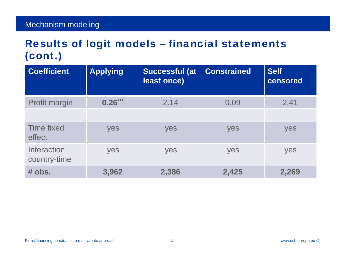| <b>Coefficient</b>          | <b>Applying</b> | <b>Successful (at</b><br>least once) | <b>Constrained</b> | <b>Self</b><br>censored |
|-----------------------------|-----------------|--------------------------------------|--------------------|-------------------------|
| <b>Profit margin</b>        | $0.26***$       | 2.14                                 | 0.09               | 2.41                    |
|                             |                 |                                      |                    |                         |
| Time fixed<br>effect        | yes             | yes                                  | yes                | yes                     |
| Interaction<br>country-time | yes             | yes                                  | yes                | yes                     |
| # obs.                      | 3,962           | 2,386                                | 2,425              | 2,269                   |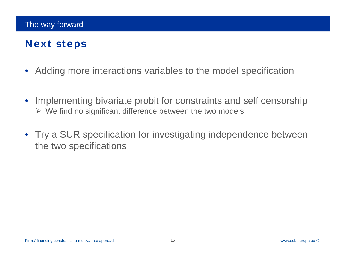# Next steps

- $\bullet$ Adding more interactions variables to the model specification
- $\bullet$  Implementing bivariate probit for constraints and self censorship  $\triangleright$  We find no significant difference between the two models
- Try a SUR specification for investigating independence between the two specifications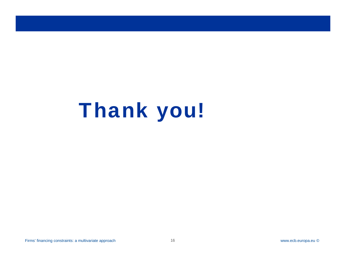# Thank you!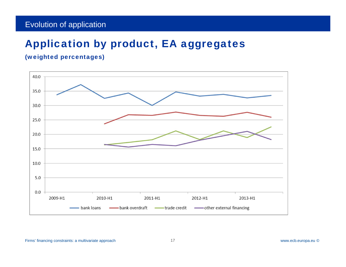# Application by product, EA aggregates

#### (weighted percentages)



Firms' financing constraints: a multivariate approach 17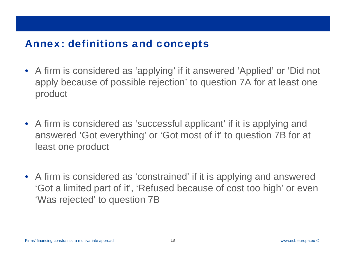#### Annex: definitions and concepts

- A firm is considered as 'applying' if it answered 'Applied' or 'Did not apply because of possible rejection' to question 7A for at least one product
- A firm is considered as 'successful applicant' if it is applying and answered 'Got everything' or 'Got most of it' to question 7B for at least one product
- A firm is considered as 'constrained' if it is applying and answered 'Got a limited part of it', 'Refused because of cost too high' or even 'Was rejected' to question 7B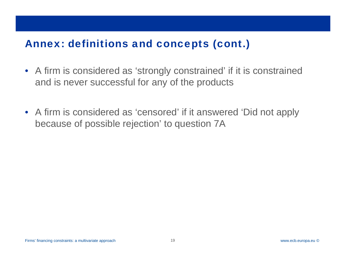# Annex: definitions and concepts (cont.)

- A firm is considered as 'strongly constrained' if it is constrained and is never successful for any of the products
- A firm is considered as 'censored' if it answered 'Did not apply because of possible rejection' to question 7A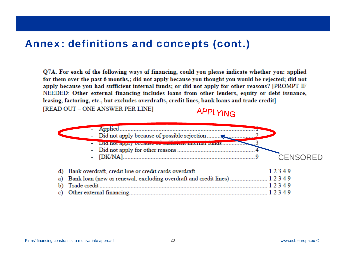#### Annex: definitions and concepts (cont.)

Q7A. For each of the following ways of financing, could you please indicate whether you: applied for them over the past 6 months,; did not apply because you thought you would be rejected; did not apply because you had sufficient internal funds; or did not apply for other reasons? [PROMPT IF NEEDED: Other external financing includes loans from other lenders, equity or debt issuance, leasing, factoring, etc., but excludes overdrafts, credit lines, bank loans and trade credit]

[READ OUT - ONE ANSWER PER LINE]

#### APPLYING

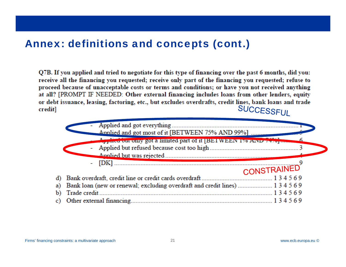## Annex: definitions and concepts (cont.)

O7B. If you applied and tried to negotiate for this type of financing over the past 6 months, did you: receive all the financing you requested; receive only part of the financing you requested; refuse to proceed because of unacceptable costs or terms and conditions; or have you not received anything at all? [PROMPT IF NEEDED: Other external financing includes loans from other lenders, equity or debt issuance, leasing, factoring, etc., but excludes overdrafts, credit lines, bank loans and trade **SUCCESSFUL** credit]

| Approve out only got a limited part of it BETWEEN 1% AIND 74791<br>CONSTRAINED |  |
|--------------------------------------------------------------------------------|--|
|                                                                                |  |
|                                                                                |  |
|                                                                                |  |
|                                                                                |  |
|                                                                                |  |
|                                                                                |  |
|                                                                                |  |
|                                                                                |  |
| a) Bank loan (new or renewal; excluding overdraft and credit lines)  134569    |  |
| Trade credit<br>134569<br>$\mathbf{b}$                                         |  |
|                                                                                |  |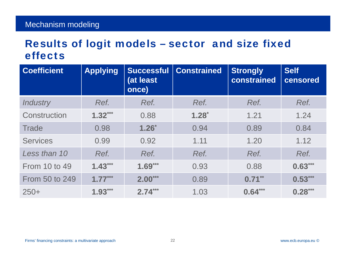## Results of logit models – sector and size fixed effects

| <b>Coefficient</b>   | <b>Applying</b> | <b>Successful</b><br>(at least<br>once) | <b>Constrained</b> | <b>Strongly</b><br>constrained | <b>Self</b><br>censored |
|----------------------|-----------------|-----------------------------------------|--------------------|--------------------------------|-------------------------|
| <b>Industry</b>      | Ref.            | Ref.                                    | Ref.               | Ref.                           | Ref.                    |
| Construction         | $1.32***$       | 0.88                                    | $1.28^{*}$         | 1.21                           | 1.24                    |
| <b>Trade</b>         | 0.98            | $1.26*$                                 | 0.94               | 0.89                           | 0.84                    |
| <b>Services</b>      | 0.99            | 0.92                                    | 1.11               | 1.20                           | 1.12                    |
| Less than 10         | Ref.            | Ref.                                    | Ref.               | Ref.                           | Ref.                    |
| <b>From 10 to 49</b> | $1.43***$       | $1.69***$                               | 0.93               | 0.88                           | $0.63***$               |
| From 50 to 249       | $1.77***$       | $2.00***$                               | 0.89               | $0.71***$                      | $0.53***$               |
| $250+$               | $1.93***$       | $2.74***$                               | 1.03               | $0.64***$                      | $0.28***$               |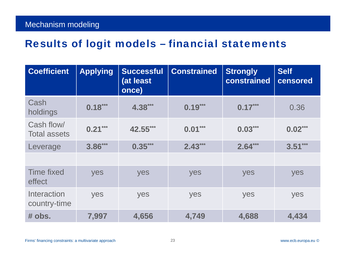| <b>Coefficient</b>                | <b>Applying</b> | <b>Successful</b><br>(at least<br>once) | <b>Constrained</b> | <b>Strongly</b><br>constrained | <b>Self</b><br>censored |
|-----------------------------------|-----------------|-----------------------------------------|--------------------|--------------------------------|-------------------------|
| Cash<br>holdings                  | $0.18***$       | 4.38***                                 | $0.19***$          | $0.17***$                      | 0.36                    |
| Cash flow/<br><b>Total assets</b> | $0.21***$       | 42.55***                                | $0.01***$          | $0.03***$                      | $0.02***$               |
| Leverage                          | $3.86***$       | $0.35***$                               | $2.43***$          | $2.64***$                      | $3.51***$               |
|                                   |                 |                                         |                    |                                |                         |
| <b>Time fixed</b><br>effect       | yes             | yes                                     | yes                | yes                            | yes                     |
| Interaction<br>country-time       | yes             | yes                                     | yes                | yes                            | yes                     |
| # obs.                            | 7,997           | 4,656                                   | 4,749              | 4,688                          | 4,434                   |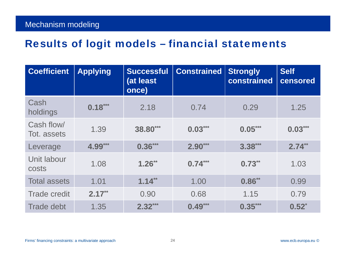| <b>Coefficient</b>        | <b>Applying</b> | <b>Successful</b><br>(at least<br>once) | <b>Constrained</b> | <b>Strongly</b><br>constrained | <b>Self</b><br>censored |
|---------------------------|-----------------|-----------------------------------------|--------------------|--------------------------------|-------------------------|
| Cash<br>holdings          | $0.18***$       | 2.18                                    | 0.74               | 0.29                           | 1.25                    |
| Cash flow/<br>Tot. assets | 1.39            | 38.80***                                | $0.03***$          | $0.05***$                      | $0.03***$               |
| Leverage                  | 4.99***         | $0.36***$                               | $2.90***$          | $3.38***$                      | $2.74***$               |
| Unit labour<br>costs      | 1.08            | $1.26**$                                | $0.74***$          | $0.73**$                       | 1.03                    |
| <b>Total assets</b>       | 1.01            | $1.14***$                               | 1.00               | $0.86***$                      | 0.99                    |
| <b>Trade credit</b>       | $2.17**$        | 0.90                                    | 0.68               | 1.15                           | 0.79                    |
| <b>Trade debt</b>         | 1.35            | $2.32***$                               | $0.49***$          | $0.35***$                      | $0.52^{*}$              |